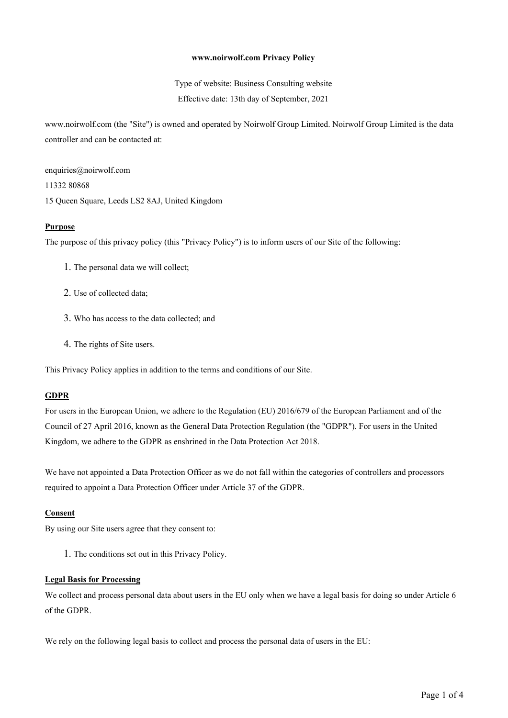#### **www.noirwolf.com Privacy Policy**

Type of website: Business Consulting website Effective date: 13th day of September, 2021

www.noirwolf.com (the "Site") is owned and operated by Noirwolf Group Limited. Noirwolf Group Limited is the data controller and can be contacted at:

enquiries@noirwolf.com

11332 80868

15 Queen Square, Leeds LS2 8AJ, United Kingdom

#### **Purpose**

The purpose of this privacy policy (this "Privacy Policy") is to inform users of our Site of the following:

- 1. The personal data we will collect;
- 2. Use of collected data;
- 3. Who has access to the data collected; and
- 4. The rights of Site users.

This Privacy Policy applies in addition to the terms and conditions of our Site.

#### **GDPR**

For users in the European Union, we adhere to the Regulation (EU) 2016/679 of the European Parliament and of the Council of 27 April 2016, known as the General Data Protection Regulation (the "GDPR"). For users in the United Kingdom, we adhere to the GDPR as enshrined in the Data Protection Act 2018.

We have not appointed a Data Protection Officer as we do not fall within the categories of controllers and processors required to appoint a Data Protection Officer under Article 37 of the GDPR.

#### **Consent**

By using our Site users agree that they consent to:

1. The conditions set out in this Privacy Policy.

#### **Legal Basis for Processing**

We collect and process personal data about users in the EU only when we have a legal basis for doing so under Article 6 of the GDPR.

We rely on the following legal basis to collect and process the personal data of users in the EU: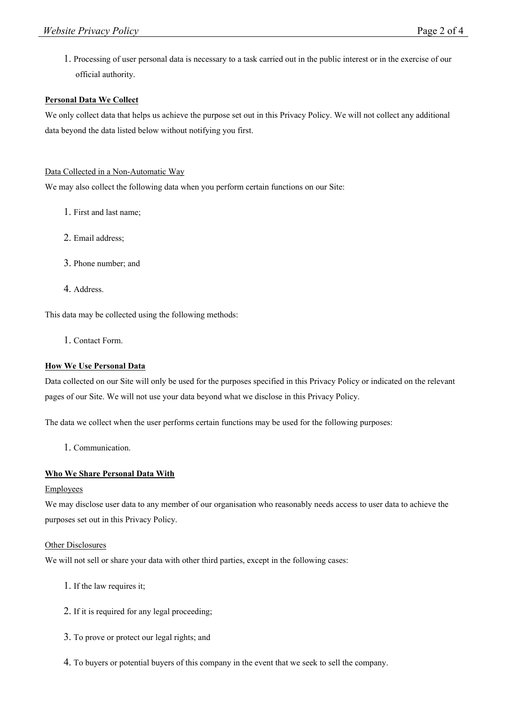1. Processing of user personal data is necessary to a task carried out in the public interest or in the exercise of our official authority.

# **Personal Data We Collect**

We only collect data that helps us achieve the purpose set out in this Privacy Policy. We will not collect any additional data beyond the data listed below without notifying you first.

# Data Collected in a Non-Automatic Way

We may also collect the following data when you perform certain functions on our Site:

- 1. First and last name;
- 2. Email address;
- 3. Phone number; and
- 4. Address.

This data may be collected using the following methods:

1. Contact Form.

# **How We Use Personal Data**

Data collected on our Site will only be used for the purposes specified in this Privacy Policy or indicated on the relevant pages of our Site. We will not use your data beyond what we disclose in this Privacy Policy.

The data we collect when the user performs certain functions may be used for the following purposes:

1. Communication.

# **Who We Share Personal Data With**

# Employees

We may disclose user data to any member of our organisation who reasonably needs access to user data to achieve the purposes set out in this Privacy Policy.

# **Other Disclosures**

We will not sell or share your data with other third parties, except in the following cases:

- 1. If the law requires it;
- 2. If it is required for any legal proceeding;
- 3. To prove or protect our legal rights; and
- 4. To buyers or potential buyers of this company in the event that we seek to sell the company.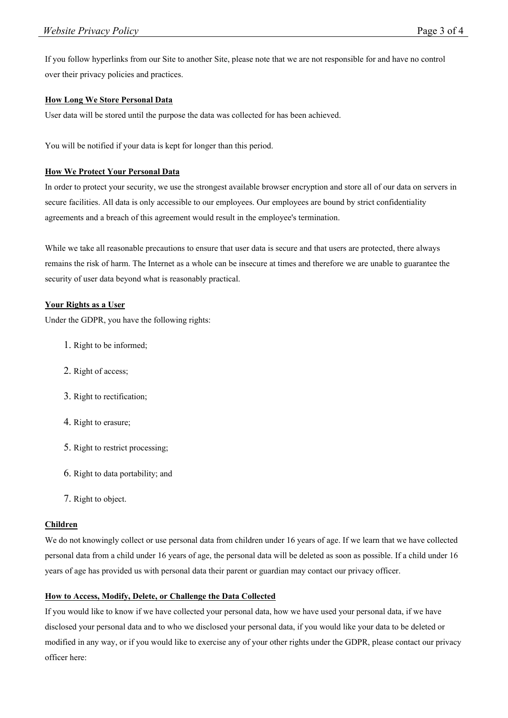If you follow hyperlinks from our Site to another Site, please note that we are not responsible for and have no control over their privacy policies and practices.

### **How Long We Store Personal Data**

User data will be stored until the purpose the data was collected for has been achieved.

You will be notified if your data is kept for longer than this period.

#### **How We Protect Your Personal Data**

In order to protect your security, we use the strongest available browser encryption and store all of our data on servers in secure facilities. All data is only accessible to our employees. Our employees are bound by strict confidentiality agreements and a breach of this agreement would result in the employee's termination.

While we take all reasonable precautions to ensure that user data is secure and that users are protected, there always remains the risk of harm. The Internet as a whole can be insecure at times and therefore we are unable to guarantee the security of user data beyond what is reasonably practical.

#### **Your Rights as a User**

Under the GDPR, you have the following rights:

- 1. Right to be informed;
- 2. Right of access;
- 3. Right to rectification;
- 4. Right to erasure;
- 5. Right to restrict processing;
- 6. Right to data portability; and
- 7. Right to object.

#### **Children**

We do not knowingly collect or use personal data from children under 16 years of age. If we learn that we have collected personal data from a child under 16 years of age, the personal data will be deleted as soon as possible. If a child under 16 years of age has provided us with personal data their parent or guardian may contact our privacy officer.

# **How to Access, Modify, Delete, or Challenge the Data Collected**

If you would like to know if we have collected your personal data, how we have used your personal data, if we have disclosed your personal data and to who we disclosed your personal data, if you would like your data to be deleted or modified in any way, or if you would like to exercise any of your other rights under the GDPR, please contact our privacy officer here: